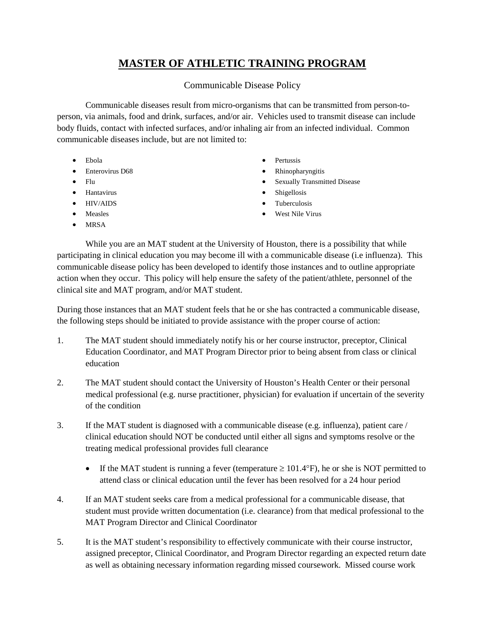## **MASTER OF ATHLETIC TRAINING PROGRAM**

## Communicable Disease Policy

Communicable diseases result from micro-organisms that can be transmitted from person-toperson, via animals, food and drink, surfaces, and/or air. Vehicles used to transmit disease can include body fluids, contact with infected surfaces, and/or inhaling air from an infected individual. Common communicable diseases include, but are not limited to:

- [Ebola](http://www.acphd.org/ebola.aspx)
- [Enterovirus D68](http://www.acphd.org/enterovirus.aspx)
- [Flu](http://www.acphd.org/flu.aspx)
- [Hantavirus](http://www.acphd.org/hantavirus.aspx)
- [HIV/AIDS](http://www.acphd.org/oaa/hiv-aids-basics.aspx)
- [Measles](http://www.acphd.org/measles.aspx)
- [MRSA](http://www.acphd.org/mrsa.aspx)
- **[Pertussis](http://www.acphd.org/pertussis.aspx)**
- [Rhinopharyngitis](http://www.acphd.org/rabies.aspx)
- [Sexually Transmitted Disease](http://www.acphd.org/std/stds-you-should-know.aspx)
- **[Shigellosis](http://www.acphd.org/shigellosis.aspx)**
- [Tuberculosis](http://www.acphd.org/tb.aspx)
- [West Nile Virus](http://www.acphd.org/west-nile-virus.aspx)

While you are an MAT student at the University of Houston, there is a possibility that while participating in clinical education you may become ill with a communicable disease (i.e influenza). This communicable disease policy has been developed to identify those instances and to outline appropriate action when they occur. This policy will help ensure the safety of the patient/athlete, personnel of the clinical site and MAT program, and/or MAT student.

During those instances that an MAT student feels that he or she has contracted a communicable disease, the following steps should be initiated to provide assistance with the proper course of action:

- 1. The MAT student should immediately notify his or her course instructor, preceptor, Clinical Education Coordinator, and MAT Program Director prior to being absent from class or clinical education
- 2. The MAT student should contact the University of Houston's Health Center or their personal medical professional (e.g. nurse practitioner, physician) for evaluation if uncertain of the severity of the condition
- 3. If the MAT student is diagnosed with a communicable disease (e.g. influenza), patient care / clinical education should NOT be conducted until either all signs and symptoms resolve or the treating medical professional provides full clearance
	- If the MAT student is running a fever (temperature  $\geq 101.4^{\circ}$ F), he or she is NOT permitted to attend class or clinical education until the fever has been resolved for a 24 hour period
- 4. If an MAT student seeks care from a medical professional for a communicable disease, that student must provide written documentation (i.e. clearance) from that medical professional to the MAT Program Director and Clinical Coordinator
- 5. It is the MAT student's responsibility to effectively communicate with their course instructor, assigned preceptor, Clinical Coordinator, and Program Director regarding an expected return date as well as obtaining necessary information regarding missed coursework. Missed course work